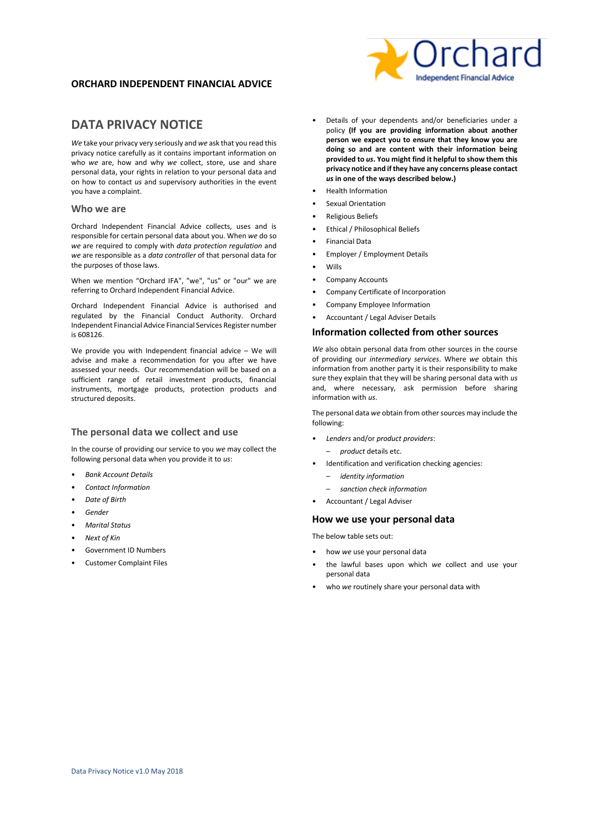# **ORCHARD INDEPENDENT FINANCIAL ADVICE**

# **DATA PRIVACY NOTICE**

*We* take your privacy very seriously and *we* ask that you read this privacy notice carefully as it contains important information on who *we* are, how and why *we* collect, store, use and share personal data, your rights in relation to your personal data and on how to contact *us* and supervisory authorities in the event you have a complaint.

### **Who we are**

Orchard Independent Financial Advice collects, uses and is responsible for certain personal data about you. When *we* do so *we* are required to comply with *data protection regulation* and *we* are responsible as a *data controller* of that personal data for the purposes of those laws.

When we mention "Orchard IFA", "we", "us" or "our" we are referring to Orchard Independent Financial Advice.

Orchard Independent Financial Advice is authorised and regulated by the Financial Conduct Authority. Orchard Independent Financial Advice Financial Services Register number is 608126.

We provide you with Independent financial advice – We will advise and make a recommendation for you after we have assessed your needs. Our recommendation will be based on a sufficient range of retail investment products, financial instruments, mortgage products, protection products and structured deposits.

## **The personal data we collect and use**

In the course of providing our service to you *we* may collect the following personal data when you provide it to *us*:

- *Bank Account Details*
- *Contact Information*
- *Date of Birth*
- *Gender*
- *Marital Status*
- *Next of Kin*
- Government ID Numbers
- Customer Complaint Files
- Details of your dependents and/or beneficiaries under a policy **(If you are providing information about another person we expect you to ensure that they know you are doing so and are content with their information being provided to** *us***. You might find it helpful to show them this privacy notice and if they have any concerns please contact**
- *us* **in one of the ways described below.)**
- Health Information
- Sexual Orientation
- Religious Beliefs
- Ethical / Philosophical Beliefs
- Financial Data
- Employer / Employment Details
- Wills
- Company Accounts
- Company Certificate of Incorporation
- Company Employee Information
- Accountant / Legal Adviser Details

## **Information collected from other sources**

*We* also obtain personal data from other sources in the course of providing our *intermediary services*. Where *we* obtain this information from another party it is their responsibility to make sure they explain that they will be sharing personal data with *us* and, where necessary, ask permission before sharing information with *us*.

The personal data *we* obtain from other sources may include the following:

- *Lenders* and/or *product providers*:
	- *product* details etc.
- Identification and verification checking agencies:
	- *identity information*
	- *sanction check information*
- Accountant / Legal Adviser

### **How we use your personal data**

The below table sets out:

- how *we* use your personal data
- the lawful bases upon which *we* collect and use your personal data
- who *we* routinely share your personal data with

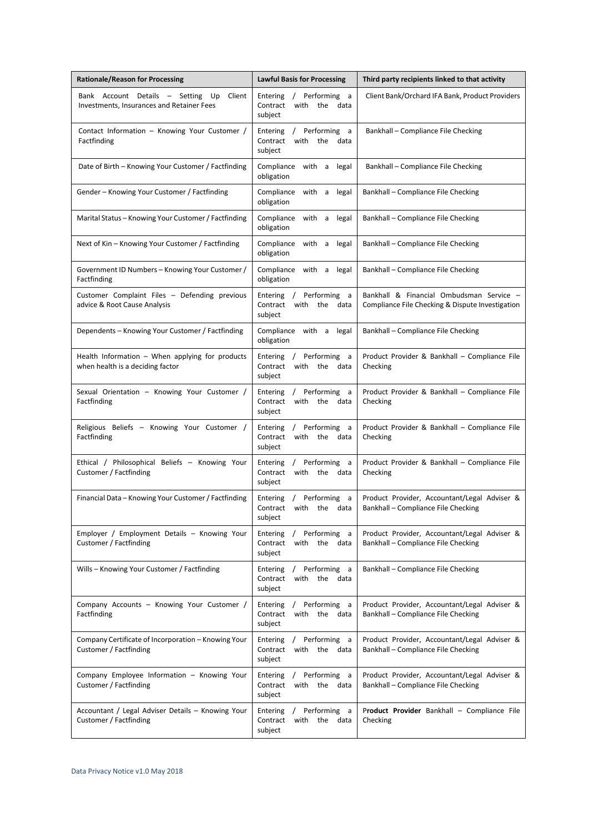| <b>Rationale/Reason for Processing</b>                                                      | <b>Lawful Basis for Processing</b>                                                  | Third party recipients linked to that activity                                               |
|---------------------------------------------------------------------------------------------|-------------------------------------------------------------------------------------|----------------------------------------------------------------------------------------------|
| Bank Account Details - Setting<br>Up<br>Client<br>Investments, Insurances and Retainer Fees | / Performing a<br>Entering<br>with the data<br>Contract<br>subject                  | Client Bank/Orchard IFA Bank, Product Providers                                              |
| Contact Information - Knowing Your Customer /<br>Factfinding                                | Entering<br>/ Performing a<br>Contract<br>with<br>the data<br>subject               | Bankhall - Compliance File Checking                                                          |
| Date of Birth – Knowing Your Customer / Factfinding                                         | Compliance<br>with a<br>legal<br>obligation                                         | Bankhall - Compliance File Checking                                                          |
| Gender - Knowing Your Customer / Factfinding                                                | Compliance with a<br>legal<br>obligation                                            | Bankhall - Compliance File Checking                                                          |
| Marital Status – Knowing Your Customer / Factfinding                                        | Compliance with a<br>legal<br>obligation                                            | Bankhall - Compliance File Checking                                                          |
| Next of Kin – Knowing Your Customer / Factfinding                                           | Compliance<br>with a<br>legal<br>obligation                                         | Bankhall - Compliance File Checking                                                          |
| Government ID Numbers - Knowing Your Customer /<br>Factfinding                              | Compliance<br>with a<br>legal<br>obligation                                         | Bankhall - Compliance File Checking                                                          |
| Customer Complaint Files - Defending previous<br>advice & Root Cause Analysis               | Entering / Performing a<br>Contract<br>with the data<br>subject                     | Bankhall & Financial Ombudsman Service -<br>Compliance File Checking & Dispute Investigation |
| Dependents – Knowing Your Customer / Factfinding                                            | Compliance with a<br>legal<br>obligation                                            | Bankhall - Compliance File Checking                                                          |
| Health Information $-$ When applying for products<br>when health is a deciding factor       | Performing<br>Entering<br>$\sqrt{2}$<br>a a<br>Contract<br>with the data<br>subject | Product Provider & Bankhall - Compliance File<br>Checking                                    |
| Sexual Orientation - Knowing Your Customer /<br>Factfinding                                 | Entering<br>/ Performing<br>a a<br>Contract<br>with the data<br>subject             | Product Provider & Bankhall - Compliance File<br>Checking                                    |
| Religious Beliefs - Knowing Your Customer /<br>Factfinding                                  | / Performing<br>Entering<br>a<br>Contract<br>with<br>the data<br>subject            | Product Provider & Bankhall - Compliance File<br>Checking                                    |
| Ethical / Philosophical Beliefs - Knowing Your<br>Customer / Factfinding                    | / Performing<br>Entering<br>a<br>Contract<br>with<br>the data<br>subject            | Product Provider & Bankhall - Compliance File<br>Checking                                    |
| Financial Data – Knowing Your Customer / Factfinding                                        | Entering<br>Performing a<br>$\sqrt{2}$<br>with the data<br>Contract<br>subject      | Product Provider, Accountant/Legal Adviser &<br>Bankhall - Compliance File Checking          |
| Employer / Employment Details - Knowing Your<br>Customer / Factfinding                      | / Performing a<br>Entering<br>the data<br>Contract<br>with<br>subject               | Product Provider, Accountant/Legal Adviser &<br>Bankhall - Compliance File Checking          |
| Wills – Knowing Your Customer / Factfinding                                                 | / Performing a<br>Entering<br>with the data<br>Contract<br>subject                  | Bankhall - Compliance File Checking                                                          |
| Company Accounts - Knowing Your Customer /<br>Factfinding                                   | / Performing a<br>Entering<br>the data<br>Contract<br>with<br>subject               | Product Provider, Accountant/Legal Adviser &<br>Bankhall - Compliance File Checking          |
| Company Certificate of Incorporation - Knowing Your<br>Customer / Factfinding               | / Performing a<br>Entering<br>with the data<br>Contract<br>subject                  | Product Provider, Accountant/Legal Adviser &<br>Bankhall - Compliance File Checking          |
| Company Employee Information - Knowing Your<br>Customer / Factfinding                       | / Performing a<br>Entering<br>the data<br>Contract<br>with<br>subject               | Product Provider, Accountant/Legal Adviser &<br>Bankhall - Compliance File Checking          |
| Accountant / Legal Adviser Details - Knowing Your<br>Customer / Factfinding                 | Entering / Performing a<br>Contract<br>with the<br>data<br>subject                  | Product Provider Bankhall - Compliance File<br>Checking                                      |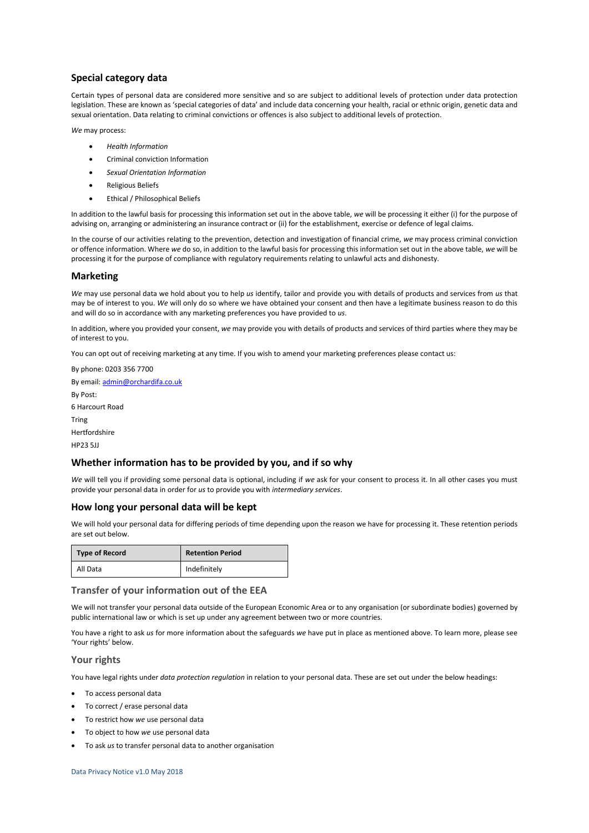## **Special category data**

Certain types of personal data are considered more sensitive and so are subject to additional levels of protection under data protection legislation. These are known as 'special categories of data' and include data concerning your health, racial or ethnic origin, genetic data and sexual orientation. Data relating to criminal convictions or offences is also subject to additional levels of protection.

*We* may process:

- *Health Information*
- Criminal conviction Information
- *Sexual Orientation Information*
- Religious Beliefs
- Ethical / Philosophical Beliefs

In addition to the lawful basis for processing this information set out in the above table, *we* will be processing it either (i) for the purpose of advising on, arranging or administering an insurance contract or (ii) for the establishment, exercise or defence of legal claims.

In the course of our activities relating to the prevention, detection and investigation of financial crime, *we* may process criminal conviction or offence information. Where *we* do so, in addition to the lawful basis for processing this information set out in the above table, *we* will be processing it for the purpose of compliance with regulatory requirements relating to unlawful acts and dishonesty.

### **Marketing**

*We* may use personal data we hold about you to help *us* identify, tailor and provide you with details of products and services from *us* that may be of interest to you. *We* will only do so where we have obtained your consent and then have a legitimate business reason to do this and will do so in accordance with any marketing preferences you have provided to *us*.

In addition, where you provided your consent, *we* may provide you with details of products and services of third parties where they may be of interest to you.

You can opt out of receiving marketing at any time. If you wish to amend your marketing preferences please contact us:

By phone: 0203 356 7700 By email[: admin@orchardifa.co.uk](mailto:admin@orchardifa.co.uk) By Post: 6 Harcourt Road Tring Hertfordshire HP23 5JJ

## **Whether information has to be provided by you, and if so why**

*We* will tell you if providing some personal data is optional, including if *we* ask for your consent to process it. In all other cases you must provide your personal data in order for *us* to provide you with *intermediary services*.

### **How long your personal data will be kept**

We will hold your personal data for differing periods of time depending upon the reason we have for processing it. These retention periods are set out below.

| <b>Type of Record</b> | <b>Retention Period</b> |
|-----------------------|-------------------------|
| All Data              | Indefinitely            |

## **Transfer of your information out of the EEA**

We will not transfer your personal data outside of the European Economic Area or to any organisation (or subordinate bodies) governed by public international law or which is set up under any agreement between two or more countries.

You have a right to ask *us* for more information about the safeguards *we* have put in place as mentioned above. To learn more, please see 'Your rights' below.

## **Your rights**

You have legal rights under *data protection regulation* in relation to your personal data. These are set out under the below headings:

- To access personal data
- To correct / erase personal data
- To restrict how *we* use personal data
- To object to how *we* use personal data
- To ask *us* to transfer personal data to another organisation

Data Privacy Notice v1.0 May 2018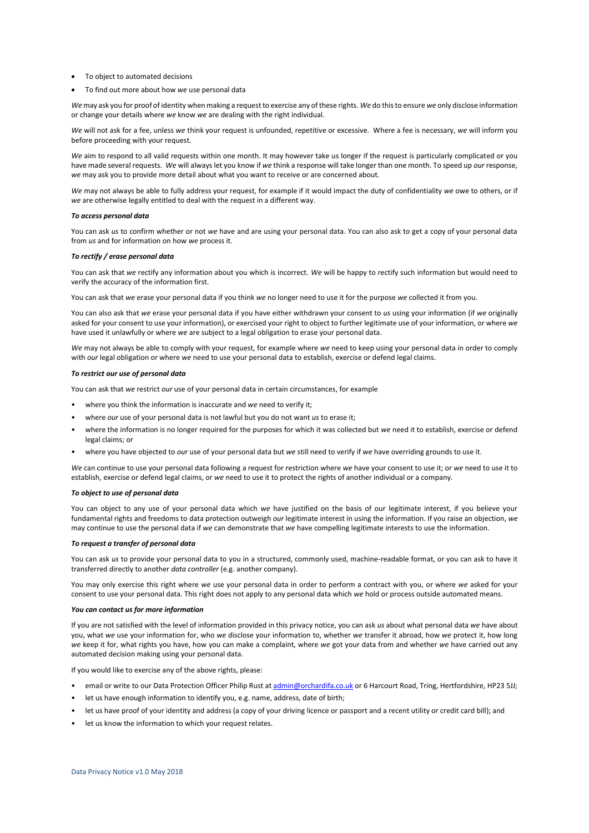- To object to automated decisions
- To find out more about how *we* use personal data

*We* may ask you for proof of identity when making a request to exercise any of these rights. *We* do this to ensure *we* only disclose information or change your details where *we* know *we* are dealing with the right individual.

*We* will not ask for a fee, unless *we* think your request is unfounded, repetitive or excessive. Where a fee is necessary, *we* will inform you before proceeding with your request.

*We* aim to respond to all valid requests within one month. It may however take us longer if the request is particularly complicated or you have made several requests. *We* will always let you know if *we* think a response will take longer than one month. To speed up *our* response, *we* may ask you to provide more detail about what you want to receive or are concerned about.

*We* may not always be able to fully address your request, for example if it would impact the duty of confidentiality *we* owe to others, or if *we* are otherwise legally entitled to deal with the request in a different way.

#### *To access personal data*

You can ask *us* to confirm whether or not *we* have and are using your personal data. You can also ask to get a copy of your personal data from *us* and for information on how *we* process it.

#### *To rectify / erase personal data*

You can ask that *we* rectify any information about you which is incorrect. *We* will be happy to rectify such information but would need to verify the accuracy of the information first.

You can ask that *we* erase your personal data if you think *we* no longer need to use it for the purpose *we* collected it from you.

You can also ask that *we* erase your personal data if you have either withdrawn your consent to *us* using your information (if *we* originally asked for your consent to use your information), or exercised your right to object to further legitimate use of your information, or where *we* have used it unlawfully or where *we* are subject to a legal obligation to erase your personal data.

*We* may not always be able to comply with your request, for example where *we* need to keep using your personal data in order to comply with *our* legal obligation or where *we* need to use your personal data to establish, exercise or defend legal claims.

#### *To restrict our use of personal data*

You can ask that *we* restrict *our* use of your personal data in certain circumstances, for example

- where you think the information is inaccurate and *we* need to verify it;
- where *our* use of your personal data is not lawful but you do not want *us* to erase it;
- where the information is no longer required for the purposes for which it was collected but *we* need it to establish, exercise or defend legal claims; or
- where you have objected to *our* use of your personal data but *we* still need to verify if *we* have overriding grounds to use it.

*We* can continue to use your personal data following a request for restriction where *we* have your consent to use it; or *we* need to use it to establish, exercise or defend legal claims, or *we* need to use it to protect the rights of another individual or a company.

#### *To object to use of personal data*

You can object to any use of your personal data which *we* have justified on the basis of our legitimate interest, if you believe your fundamental rights and freedoms to data protection outweigh *our* legitimate interest in using the information. If you raise an objection, *we* may continue to use the personal data if *we* can demonstrate that *we* have compelling legitimate interests to use the information.

#### *To request a transfer of personal data*

You can ask *us* to provide your personal data to you in a structured, commonly used, machine-readable format, or you can ask to have it transferred directly to another *data controller* (e.g. another company).

You may only exercise this right where *we* use your personal data in order to perform a contract with you, or where *we* asked for your consent to use your personal data. This right does not apply to any personal data which *we* hold or process outside automated means.

### *You can contact us for more information*

If you are not satisfied with the level of information provided in this privacy notice, you can ask *us* about what personal data *we* have about you, what *we* use your information for, who *we* disclose your information to, whether *we* transfer it abroad, how *we* protect it, how long *we* keep it for, what rights you have, how you can make a complaint, where *we* got your data from and whether *we* have carried out any automated decision making using your personal data.

If you would like to exercise any of the above rights, please:

- email or write to our Data Protection Officer Philip Rust a[t admin@orchardifa.co.uk](mailto:admin@orchardifa.co.uk) or 6 Harcourt Road, Tring, Hertfordshire, HP23 5JJ;
- let us have enough information to identify you, e.g. name, address, date of birth;
- let us have proof of your identity and address (a copy of your driving licence or passport and a recent utility or credit card bill); and
- let us know the information to which your request relates.